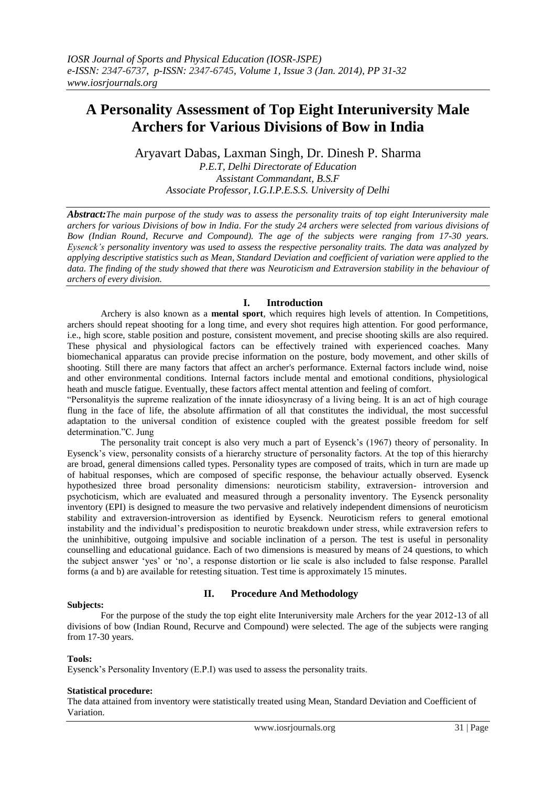# **A Personality Assessment of Top Eight Interuniversity Male Archers for Various Divisions of Bow in India**

Aryavart Dabas, Laxman Singh, Dr. Dinesh P. Sharma

*P.E.T, Delhi Directorate of Education Assistant Commandant, B.S.F Associate Professor, I.G.I.P.E.S.S. University of Delhi*

*Abstract:The main purpose of the study was to assess the personality traits of top eight Interuniversity male archers for various Divisions of bow in India. For the study 24 archers were selected from various divisions of Bow (Indian Round, Recurve and Compound). The age of the subjects were ranging from 17-30 years. Eysenck's personality inventory was used to assess the respective personality traits. The data was analyzed by applying descriptive statistics such as Mean, Standard Deviation and coefficient of variation were applied to the data. The finding of the study showed that there was Neuroticism and Extraversion stability in the behaviour of archers of every division.*

## **I. Introduction**

Archery is also known as a **mental sport**, which requires high levels of attention. In Competitions, archers should repeat shooting for a long time, and every shot requires high attention. For good performance, i.e., high score, stable position and posture, consistent movement, and precise shooting skills are also required. These physical and physiological factors can be effectively trained with experienced coaches. Many biomechanical apparatus can provide precise information on the posture, body movement, and other skills of shooting. Still there are many factors that affect an archer's performance. External factors include wind, noise and other environmental conditions. Internal factors include mental and emotional conditions, physiological heath and muscle fatigue. Eventually, these factors affect mental attention and feeling of comfort.

"Personalityis the supreme realization of the innate idiosyncrasy of a living being. It is an act of high courage flung in the face of life, the absolute affirmation of all that constitutes the individual, the most successful adaptation to the universal condition of existence coupled with the greatest possible freedom for self determination."C. Jung

The personality trait concept is also very much a part of Eysenck's (1967) theory of personality. In Eysenck's view, personality consists of a hierarchy structure of personality factors. At the top of this hierarchy are broad, general dimensions called types. Personality types are composed of traits, which in turn are made up of habitual responses, which are composed of specific response, the behaviour actually observed. Eysenck hypothesized three broad personality dimensions: neuroticism stability, extraversion- introversion and psychoticism, which are evaluated and measured through a personality inventory. The Eysenck personality inventory (EPI) is designed to measure the two pervasive and relatively independent dimensions of neuroticism stability and extraversion-introversion as identified by Eysenck. Neuroticism refers to general emotional instability and the individual"s predisposition to neurotic breakdown under stress, while extraversion refers to the uninhibitive, outgoing impulsive and sociable inclination of a person. The test is useful in personality counselling and educational guidance. Each of two dimensions is measured by means of 24 questions, to which the subject answer "yes" or "no", a response distortion or lie scale is also included to false response. Parallel forms (a and b) are available for retesting situation. Test time is approximately 15 minutes.

#### **Subjects:**

### **II. Procedure And Methodology**

For the purpose of the study the top eight elite Interuniversity male Archers for the year 2012-13 of all divisions of bow (Indian Round, Recurve and Compound) were selected. The age of the subjects were ranging from 17-30 years.

#### **Tools:**

Eysenck"s Personality Inventory (E.P.I) was used to assess the personality traits.

#### **Statistical procedure:**

The data attained from inventory were statistically treated using Mean, Standard Deviation and Coefficient of Variation.